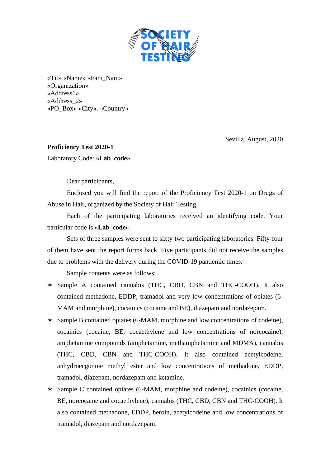

«Tit» «Name» «Fam\_Nam» «Organization» «Address1» «Address\_2» «PO\_Box» «City». «Country»

Sevilla, August, 2020

**Proficiency Test 2020-1**  Laboratory Code: **«Lab\_code»** 

Dear participants,

 Enclosed you will find the report of the Proficiency Test 2020-1 on Drugs of Abuse in Hair, organized by the Society of Hair Testing.

 Each of the participating laboratories received an identifying code. Your particular code is **«Lab\_code»**.

 Sets of three samples were sent to sixty-two participating laboratories. Fifty-four of them have sent the report forms back. Five participants did not receive the samples due to problems with the delivery during the COVID-19 pandemic times.

Sample contents were as follows:

- ∗ Sample A contained cannabis (THC, CBD, CBN and THC-COOH). It also contained methadone, EDDP, tramadol and very low concentrations of opiates (6- MAM and morphine), cocainics (cocaine and BE), diazepam and nordazepam.
- ∗ Sample B contained opiates (6-MAM, morphine and low concentrations of codeine), cocainics (cocaine, BE, cocaethylene and low concentrations of norcocaine), amphetamine compounds (amphetamine, methamphetamine and MDMA), cannabis (THC, CBD, CBN and THC-COOH). It also contained acetylcodeine, anhydroecgonine methyl ester and low concentrations of methadone, EDDP, tramadol, diazepam, nordazepam and ketamine.
- ∗ Sample C contained opiates (6-MAM, morphine and codeine), cocainics (cocaine, BE, norcocaine and cocaethylene), cannabis (THC, CBD, CBN and THC-COOH). It also contained methadone, EDDP, heroin, acetylcodeine and low concentrations of tramadol, diazepam and nordazepam.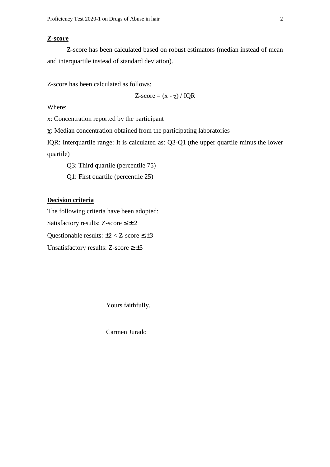## **Z-score**

Z-score has been calculated based on robust estimators (median instead of mean and interquartile instead of standard deviation).

Z-score has been calculated as follows:

 $Z\text{-score} = (x - \gamma) / IQR$ 

Where:

x: Concentration reported by the participant

χ: Median concentration obtained from the participating laboratories

IQR: Interquartile range: It is calculated as: Q3-Q1 (the upper quartile minus the lower quartile)

Q3: Third quartile (percentile 75)

Q1: First quartile (percentile 25)

## **Decision criteria**

The following criteria have been adopted: Satisfactory results: Z-score  $\leq \pm 2$ Questionable results:  $\pm 2 < Z$ -score  $\leq \pm 3$ Unsatisfactory results: Z-score  $\geq \pm 3$ 

Yours faithfully.

Carmen Jurado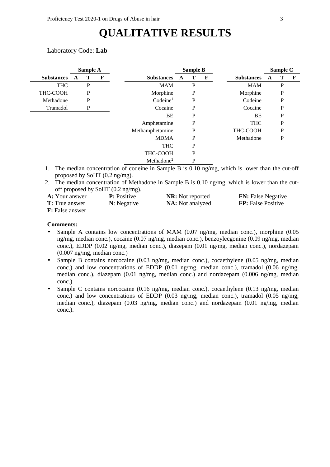## **QUALITATIVE RESULTS**

## Laboratory Code: **Lab**

|                   |   | Sample A |             | <b>Sample B</b>        |   |   |   | Sample C          |   |             |             |
|-------------------|---|----------|-------------|------------------------|---|---|---|-------------------|---|-------------|-------------|
| <b>Substances</b> | A | Т        | $\mathbf F$ | <b>Substances</b>      | A | т | F | <b>Substances</b> | A | Т           | $\mathbf F$ |
| <b>THC</b>        |   | P        |             | <b>MAM</b>             |   | P |   | <b>MAM</b>        |   | P           |             |
| THC-COOH          |   | P        |             | Morphine               |   | P |   | Morphine          |   | $\mathbf P$ |             |
| Methadone         |   | P        |             | Codeine <sup>1</sup>   |   | P |   | Codeine           |   | P           |             |
| Tramadol          |   | P        |             | Cocaine                |   | P |   | Cocaine           |   | P           |             |
|                   |   |          |             | BE                     |   | P |   | BE                |   | P           |             |
|                   |   |          |             | Amphetamine            |   | P |   | <b>THC</b>        |   | P           |             |
|                   |   |          |             | Methamphetamine        |   | P |   | THC-COOH          |   | P           |             |
|                   |   |          |             | <b>MDMA</b>            |   | P |   | Methadone         |   | P           |             |
|                   |   |          |             | <b>THC</b>             |   | P |   |                   |   |             |             |
|                   |   |          |             | THC-COOH               |   | P |   |                   |   |             |             |
|                   |   |          |             | Methadone <sup>2</sup> |   | P |   |                   |   |             |             |

1. The median concentration of codeine in Sample B is 0.10 ng/mg, which is lower than the cut-off proposed by SoHT (0.2 ng/mg).

2. The median concentration of Methadone in Sample B is 0.10 ng/mg, which is lower than the cutoff proposed by SoHT (0.2 ng/mg).

| <b>A:</b> Your answer   | <b>P</b> : Positive | <b>NR</b> : Not reported | <b>FN:</b> False Negative |
|-------------------------|---------------------|--------------------------|---------------------------|
| <b>T:</b> True answer   | N: Negative         | <b>NA</b> : Not analyzed | <b>FP:</b> False Positive |
| <b>F</b> : False answer |                     |                          |                           |

**Comments:** 

- Sample A contains low concentrations of MAM  $(0.07 \text{ ng/mg})$ , median conc.), morphine  $(0.05 \text{ m})$ ng/mg, median conc.), cocaine (0.07 ng/mg, median conc.), benzoylecgonine (0.09 ng/mg, median conc.), EDDP (0.02 ng/mg, median conc.), diazepam (0.01 ng/mg, median conc.), nordazepam (0.007 ng/mg, median conc.)
- Sample B contains norcocaine (0.03 ng/mg, median conc.), cocaethylene (0.05 ng/mg, median conc.) and low concentrations of EDDP (0.01 ng/mg, median conc.), tramadol (0.06 ng/mg, median conc.), diazepam (0.01 ng/mg, median conc.) and nordazepam (0.006 ng/mg, median conc.).
- Sample C contains norcocaine (0.16 ng/mg, median conc.), cocaethylene (0.13 ng/mg, median conc.) and low concentrations of EDDP (0.03 ng/mg, median conc.), tramadol (0.05 ng/mg, median conc.), diazepam (0.03 ng/mg, median conc.) and nordazepam (0.01 ng/mg, median conc.).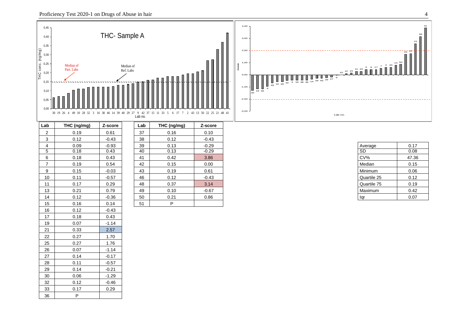21 0.33 2.57 22 0.27 1.70 25 0.27 1.76 26 0.07 -1.14 27 0.14 -0.17 28 0.11 -0.57 29 0.14 -0.21 30 0.06 -1.29 32 0.12 -0.46 33 0.17 0.29

36 P

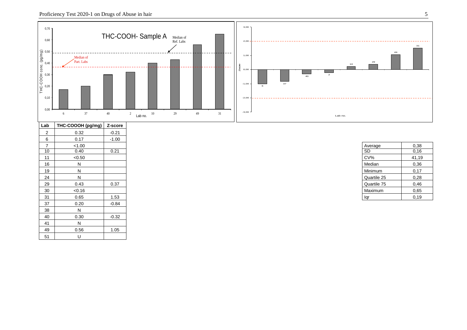

| Lab            | THC-COOOH (pg/mg) | Z-score |
|----------------|-------------------|---------|
| $\overline{2}$ | 0.32              | $-0.21$ |
| 6              | 0.17              | $-1.00$ |
| $\overline{7}$ | < 1.00            |         |
| 10             | 0.40              | 0.21    |
| 11             | < 0.50            |         |
| 16             | N                 |         |
| 19             | N                 |         |
| 24             | N                 |         |
| 29             | 0.43              | 0.37    |
| 30             | < 0.16            |         |
| 31             | 0.65              | 1.53    |
| 37             | 0.20              | $-0.84$ |
| 38             | N                 |         |
| 40             | 0.30              | $-0.32$ |
| 41             | N                 |         |
| 49             | 0.56              | 1.05    |
| 51             | U                 |         |

| Average     | 0,38  |
|-------------|-------|
| <b>SD</b>   | 0,16  |
| CV%         | 41,19 |
| Median      | 0,36  |
| Minimum     | 0,17  |
| Quartile 25 | 0,28  |
| Quartile 75 | 0,46  |
| Maximum     | 0,65  |
| lar         | 0.19  |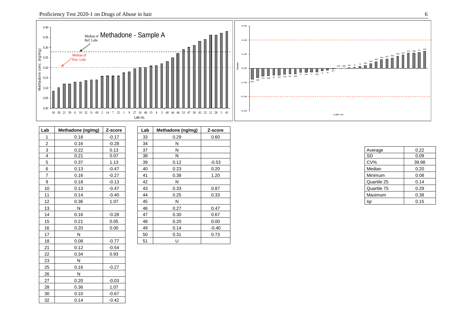



| Lab            | Methadone (ng/mg) | Z-score | Lab | Methadone               |
|----------------|-------------------|---------|-----|-------------------------|
| 1              | 0.18              | $-0.17$ | 33  | 0.29                    |
| $\overline{2}$ | 0.16              | $-0.28$ | 34  | Ν                       |
| 3              | 0.22              | 0.13    | 37  | N                       |
| $\overline{4}$ | 0.21              | 0.07    | 38  | $\overline{\mathsf{N}}$ |
| 5              | 0.37              | 1.13    | 39  | 0.12                    |
| 6              | 0.13              | $-0.47$ | 40  | 0.23                    |
| 7              | 0.16              | $-0.27$ | 41  | 0.38                    |
| 9              | 0.18              | $-0.13$ | 42  | N                       |
| 10             | 0.13              | $-0.47$ | 43  | 0.33                    |
| 11             | 0.14              | $-0.40$ | 44  | 0.25                    |
| 12             | 0.36              | 1.07    | 45  | N                       |
| 13             | N                 |         | 46  | 0.27                    |
| 14             | 0.16              | $-0.28$ | 47  | 0.30                    |
| 15             | 0.21              | 0.05    | 48  | 0.20                    |
| 16             | 0.20              | 0.00    | 49  | 0.14                    |
| 17             | N                 |         | 50  | 0.3'                    |
| 18             | 0.08              | $-0.77$ | 51  | U                       |
| 21             | 0.12              | $-0.54$ |     |                         |
| 22             | 0.34              | 0.93    |     |                         |
| 23             | N                 |         |     |                         |
| 25             | 0.16              | $-0.27$ |     |                         |
| 26             | N                 |         |     |                         |
| 27             | 0.20              | $-0.03$ |     |                         |
| 28             | 0.36              | 1.07    |     |                         |
| 30             | 0.10              | $-0.67$ |     |                         |
| 32             | 0.14              | $-0.42$ |     |                         |

| Lab            | Methadone (ng/mg) | Z-score | Lab | Methadone (ng/mg) | Z-score |
|----------------|-------------------|---------|-----|-------------------|---------|
|                | 0.18              | $-0.17$ | 33  | 0.29              | 0.60    |
| $\overline{2}$ | 0.16              | $-0.28$ | 34  | N                 |         |
| 3              | 0.22              | 0.13    | 37  | N                 |         |
| 4              | 0.21              | 0.07    | 38  | N                 |         |
| 5              | 0.37              | 1.13    | 39  | 0.12              | $-0.53$ |
| 6              | 0.13              | $-0.47$ | 40  | 0.23              | 0.20    |
| $\overline{7}$ | 0.16              | $-0.27$ | 41  | 0.38              | 1.20    |
| 9              | 0.18              | $-0.13$ | 42  | N                 |         |
| 10             | 0.13              | $-0.47$ | 43  | 0.33              | 0.87    |
| 11             | 0.14              | $-0.40$ | 44  | 0.25              | 0.33    |
| 12             | 0.36              | 1.07    | 45  | N                 |         |
| 13             | N                 |         | 46  | 0.27              | 0.47    |
| 14             | 0.16              | $-0.28$ | 47  | 0.30              | 0.67    |
| 15             | 0.21              | 0.05    | 48  | 0.20              | 0.00    |
| 16             | 0.20              | 0.00    | 49  | 0.14              | $-0.40$ |
| 17             | Ν                 |         | 50  | 0.31              | 0.73    |
| 18             | 0.08              | $-0.77$ | 51  | U                 |         |

| Average     | 0.22  |
|-------------|-------|
| <b>SD</b>   | 0.09  |
| CV%         | 39.98 |
| Median      | 0.20  |
| Minimum     | 0.08  |
| Quartile 25 | 0.14  |
| Quartile 75 | 0.29  |
| Maximum     | 0.38  |
| ar          | 0.15  |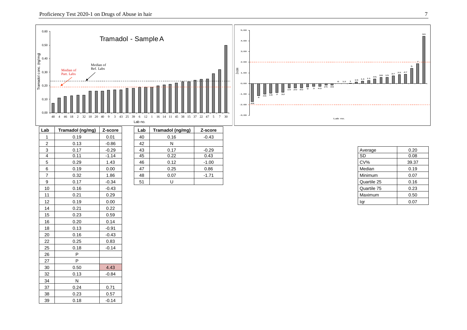

| $-$            | ן נשייישיין יישיייייייי | $   -$  | --- |              | $   -$  |
|----------------|-------------------------|---------|-----|--------------|---------|
| $\overline{1}$ | 0.19                    | 0.01    | 40  | 0.16         | $-0.43$ |
| $\overline{2}$ | 0.13                    | $-0.86$ | 42  | $\mathsf{N}$ |         |
| 3              | 0.17                    | $-0.29$ | 43  | 0.17         | $-0.29$ |
| $\overline{4}$ | 0.11                    | $-1.14$ | 45  | 0.22         | 0.43    |
| 5              | 0.29                    | 1.43    | 46  | 0.12         | $-1.00$ |
| 6              | 0.19                    | 0.00    | 47  | 0.25         | 0.86    |
| $\overline{7}$ | 0.32                    | 1.86    | 48  | 0.07         | $-1.71$ |
| 9              | 0.17                    | $-0.34$ | 51  | U            |         |
| 10             | 0.16                    | $-0.43$ |     |              |         |
| 11             | 0.21                    | 0.29    |     |              |         |
| 12             | 0.19                    | 0.00    |     |              |         |
| 14             | 0.21                    | 0.22    |     |              |         |
| 15             | 0.23                    | 0.59    |     |              |         |
| 16             | 0.20                    | 0.14    |     |              |         |
| 18             | 0.13                    | $-0.91$ |     |              |         |
| 20             | 0.16                    | $-0.43$ |     |              |         |
| 22             | 0.25                    | 0.83    |     |              |         |
| 25             | 0.18                    | $-0.14$ |     |              |         |
| 26             | P                       |         |     |              |         |
| 27             | P                       |         |     |              |         |
| 30             | 0.50                    | 4.43    |     |              |         |
| 32             | 0.13                    | $-0.84$ |     |              |         |
| 34             | ${\sf N}$               |         |     |              |         |
| 37             | 0.24                    | 0.71    |     |              |         |
| 38             | 0.23                    | 0.57    |     |              |         |
| 39             | 0.18                    | $-0.14$ |     |              |         |
|                |                         |         |     |              |         |

| ۱b | Tramadol (ng/mg) | Z-score | Lab | Tramadol (ng/mg) | Z-score |
|----|------------------|---------|-----|------------------|---------|
|    | 0.19             | 0.01    | 40  | 0.16             | $-0.43$ |
|    | 0.13             | $-0.86$ | 42  |                  |         |
|    | 0.17             | $-0.29$ | 43  | 0.17             | $-0.29$ |
|    | 0.11             | $-1.14$ | 45  | 0.22             | 0.43    |
|    | 0.29             | 1.43    | 46  | 0.12             | $-1.00$ |
|    | 0.19             | 0.00    | 47  | 0.25             | 0.86    |
|    | 0.32             | 1.86    | 48  | 0.07             | $-1.71$ |
|    | 0.17             | $-0.34$ | 51  |                  |         |
|    |                  |         |     |                  |         |

| Average     | 0.20  |
|-------------|-------|
| SD          | 0.08  |
| CV%         | 39.37 |
| Median      | 0.19  |
| Minimum     | 0.07  |
| Quartile 25 | 0.16  |
| Quartile 75 | 0.23  |
| Maximum     | 0.50  |
| 'ar         | 0.07  |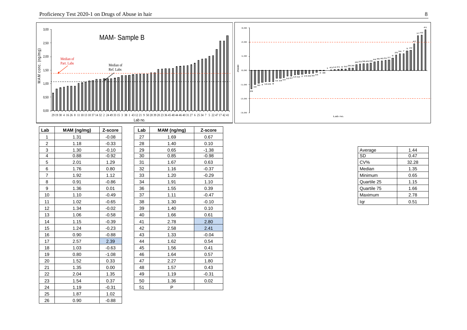

| Lab            | MAM (ng/mg) | Z-score | Lab | MAM (ng/mg) | Z-score |
|----------------|-------------|---------|-----|-------------|---------|
| $\mathbf{1}$   | 1.31        | $-0.08$ | 27  | 1.69        | 0.67    |
| $\overline{2}$ | 1.18        | $-0.33$ | 28  | 1.40        | 0.10    |
| 3              | 1.30        | $-0.10$ | 29  | 0.65        | $-1.38$ |
| 4              | 0.88        | $-0.92$ | 30  | 0.85        | $-0.98$ |
| 5              | 2.01        | 1.29    | 31  | 1.67        | 0.63    |
| 6              | 1.76        | 0.80    | 32  | 1.16        | $-0.37$ |
| $\overline{7}$ | 1.92        | 1.12    | 33  | 1.20        | $-0.29$ |
| 8              | 0.91        | $-0.86$ | 34  | 1.91        | 1.10    |
| 9              | 1.36        | 0.01    | 36  | 1.55        | 0.39    |
| 10             | 1.10        | $-0.49$ | 37  | 1.11        | $-0.47$ |
| 11             | 1.02        | $-0.65$ | 38  | 1.30        | $-0.10$ |
| 12             | 1.34        | $-0.02$ | 39  | 1.40        | 0.10    |
| 13             | 1.06        | $-0.58$ | 40  | 1.66        | 0.61    |
| 14             | 1.15        | $-0.39$ | 41  | 2.78        | 2.80    |
| 15             | 1.24        | $-0.23$ | 42  | 2.58        | 2.41    |
| 16             | 0.90        | $-0.88$ | 43  | 1.33        | $-0.04$ |
| 17             | 2.57        | 2.39    | 44  | 1.62        | 0.54    |
| 18             | 1.03        | $-0.63$ | 45  | 1.56        | 0.41    |
| 19             | 0.80        | $-1.08$ | 46  | 1.64        | 0.57    |
| 20             | 1.52        | 0.33    | 47  | 2.27        | 1.80    |
| 21             | 1.35        | 0.00    | 48  | 1.57        | 0.43    |
| 22             | 2.04        | 1.35    | 49  | 1.19        | $-0.31$ |
| 23             | 1.54        | 0.37    | 50  | 1.36        | 0.02    |
| 24             | 1.19        | $-0.31$ | 51  | P           |         |
| 25             | 1.87        | 1.02    |     |             |         |
| 26             | 0.90        | $-0.88$ |     |             |         |

| Lab | MAM (ng/mg) | Z-score |
|-----|-------------|---------|
| 27  | 1.69        | 0.67    |
| 28  | 1.40        | 0.10    |
| 29  | 0.65        | $-1.38$ |
| 30  | 0.85        | $-0.98$ |
| 31  | 1.67        | 0.63    |
| 32  | 1.16        | $-0.37$ |
| 33  | 1.20        | $-0.29$ |
| 34  | 1.91        | 1.10    |
| 36  | 1.55        | 0.39    |
| 37  | 1.11        | $-0.47$ |
| 38  | 1.30        | $-0.10$ |
| 39  | 1.40        | 0.10    |
| 40  | 1.66        | 0.61    |
| 41  | 2.78        | 2.80    |
| 42  | 2.58        | 2.41    |
| 43  | 1.33        | $-0.04$ |
| 44  | 1.62        | 0.54    |
| 45  | 1.56        | 0.41    |
| 46  | 1.64        | 0.57    |
| 47  | 2.27        | 1.80    |
| 48  | 1.57        | 0.43    |
| 49  | 1.19        | $-0.31$ |
| 50  | 1.36        | 0.02    |
| 51  | P           |         |

| Average     | 1.44  |
|-------------|-------|
| SD          | 0.47  |
| CV%         | 32.28 |
| Median      | 1.35  |
| Minimum     | 0.65  |
| Quartile 25 | 1.15  |
| Quartile 75 | 1.66  |
| Maximum     | 2.78  |
| laı         | 0.51  |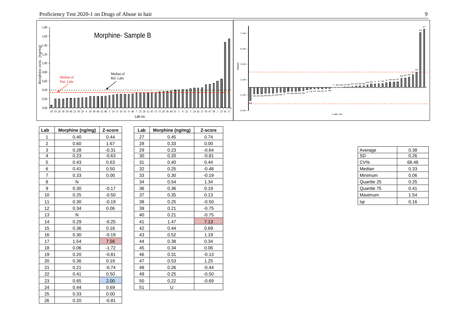

| Lab            | Morphine (ng/mg) | Z-score | Lab | Morphine (ng/mg) | Z-score |
|----------------|------------------|---------|-----|------------------|---------|
| $\mathbf 1$    | 0.40             | 0.44    | 27  | 0.45             | 0.74    |
| 2              | 0.60             | 1.67    | 28  | 0.33             | 0.00    |
| 3              | 0.28             | $-0.31$ | 29  | 0.23             | $-0.64$ |
| $\overline{4}$ | 0.23             | $-0.63$ | 30  | 0.20             | $-0.81$ |
| 5              | 0.43             | 0.63    | 31  | 0.40             | 0.44    |
| 6              | 0.41             | 0.50    | 32  | 0.25             | $-0.48$ |
| $\overline{7}$ | 0.33             | 0.00    | 33  | 0.30             | $-0.19$ |
| 8              | ${\sf N}$        |         | 34  | 0.54             | 1.34    |
| 9              | 0.30             | $-0.17$ | 36  | 0.36             | 0.19    |
| 10             | 0.25             | $-0.50$ | 37  | 0.35             | 0.13    |
| 11             | 0.30             | $-0.19$ | 38  | 0.25             | $-0.50$ |
| 12             | 0.34             | 0.06    | 39  | 0.21             | $-0.75$ |
| 13             | ${\sf N}$        |         | 40  | 0.21             | $-0.75$ |
| 14             | 0.29             | $-0.25$ | 41  | 1.47             | 7.13    |
| 15             | 0.36             | 0.16    | 42  | 0.44             | 0.69    |
| 16             | 0.30             | $-0.19$ | 43  | 0.52             | 1.19    |
| 17             | 1.54             | 7.56    | 44  | 0.38             | 0.34    |
| 18             | 0.06             | $-1.72$ | 45  | 0.34             | 0.06    |
| 19             | 0.20             | $-0.81$ | 46  | 0.31             | $-0.13$ |
| 20             | 0.36             | 0.19    | 47  | 0.53             | 1.25    |
| 21             | 0.21             | $-0.74$ | 48  | 0.26             | $-0.44$ |
| 22             | 0.41             | 0.50    | 49  | 0.25             | $-0.50$ |
| 23             | 0.65             | 2.00    | 50  | 0.22             | $-0.69$ |
| 24             | 0.44             | 0.69    | 51  | U                |         |
| 25             | 0.33             | 0.00    |     |                  |         |
| 26             | 0.20             | $-0.81$ |     |                  |         |

| Lab | Morphine (ng/mg) | Z-score |
|-----|------------------|---------|
| 27  | 0.45             | 0.74    |
| 28  | 0.33             | 0.00    |
| 29  | 0.23             | $-0.64$ |
| 30  | 0.20             | $-0.81$ |
| 31  | 0.40             | 0.44    |
| 32  | 0.25             | $-0.48$ |
| 33  | 0.30             | $-0.19$ |
| 34  | 0.54             | 1.34    |
| 36  | 0.36             | 0.19    |
| 37  | 0.35             | 0.13    |
| 38  | 0.25             | $-0.50$ |
| 39  | 0.21             | $-0.75$ |
| 40  | 0.21             | $-0.75$ |
| 41  | 1.47             | 7.13    |
| 42  | 0.44             | 0.69    |
| 43  | 0.52             | 1.19    |
| 44  | 0.38             | 0.34    |
| 45  | 0.34             | 0.06    |
| 46  | 0.31             | $-0.13$ |
| 47  | 0.53             | 1.25    |
| 48  | 0.26             | $-0.44$ |
| 49  | 0.25             | $-0.50$ |
| 50  | 0.22             | $-0.69$ |
| 51  | U                |         |

| Average     | 0.38  |
|-------------|-------|
| SD          | 0.26  |
| CV%         | 68.48 |
| Median      | 0.33  |
| Minimum     | 0.06  |
| Quartile 25 | 0.25  |
| Quartile 75 | 0.41  |
| Maximum     | 1.54  |
| laı         | 0.16  |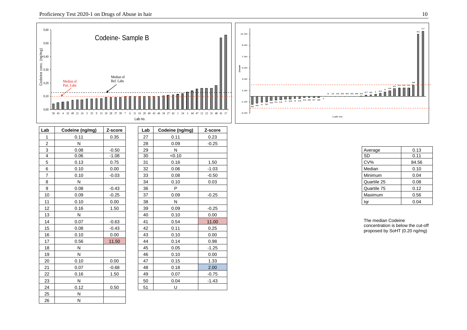![](_page_9_Figure_0.jpeg)

![](_page_9_Figure_1.jpeg)

| Lab            | Codeine (ng/mg) | Z-score | Lab | Codeine (ng/mg) | Z-score |
|----------------|-----------------|---------|-----|-----------------|---------|
| $\mathbf{1}$   | 0.11            | 0.35    | 27  | 0.11            | 0.23    |
| $\overline{2}$ | N               |         | 28  | 0.09            | $-0.25$ |
| 3              | 0.08            | $-0.50$ | 29  | N               |         |
| 4              | 0.06            | $-1.08$ | 30  | < 0.10          |         |
| 5              | 0.13            | 0.75    | 31  | 0.16            | 1.50    |
| 6              | 0.10            | 0.00    | 32  | 0.06            | $-1.03$ |
| $\overline{7}$ | 0.10            | $-0.03$ | 33  | 0.08            | $-0.50$ |
| 8              | $\mathsf{N}$    |         | 34  | 0.10            | 0.03    |
| 9              | 0.08            | $-0.43$ | 36  | P               |         |
| 10             | 0.09            | $-0.25$ | 37  | 0.09            | $-0.25$ |
| 11             | 0.10            | 0.00    | 38  | N               |         |
| 12             | 0.16            | 1.50    | 39  | 0.09            | $-0.25$ |
| 13             | N               |         | 40  | 0.10            | 0.00    |
| 14             | 0.07            | $-0.63$ | 41  | 0.54            | 11.00   |
| 15             | 0.08            | $-0.43$ | 42  | 0.11            | 0.25    |
| 16             | 0.10            | 0.00    | 43  | 0.10            | 0.00    |
| 17             | 0.56            | 11.50   | 44  | 0.14            | 0.98    |
| 18             | N               |         | 45  | 0.05            | $-1.25$ |
| 19             | N               |         | 46  | 0.10            | 0.00    |
| 20             | 0.10            | 0.00    | 47  | 0.15            | 1.33    |
| 21             | 0.07            | $-0.68$ | 48  | 0.18            | 2.00    |
| 22             | 0.16            | 1.50    | 49  | 0.07            | $-0.75$ |
| 23             | N               |         | 50  | 0.04            | $-1.43$ |
| 24             | 0.12            | 0.50    | 51  | U               |         |
| 25             | N               |         |     |                 |         |
| 26             | N               |         |     |                 |         |
|                |                 |         |     |                 |         |

| Lab | Codeine (ng/mg) | Z-score |
|-----|-----------------|---------|
| 27  | 0.11            | 0.23    |
| 28  | 0.09            | $-0.25$ |
| 29  | N               |         |
| 30  | < 0.10          |         |
| 31  | 0.16            | 1.50    |
| 32  | 0.06            | $-1.03$ |
| 33  | 0.08            | $-0.50$ |
| 34  | 0.10            | 0.03    |
| 36  | P               |         |
| 37  | 0.09            | $-0.25$ |
| 38  | N               |         |
| 39  | 0.09            | $-0.25$ |
| 40  | 0.10            | 0.00    |
| 41  | 0.54            | 11.00   |
| 42  | 0.11            | 0.25    |
| 43  | 0.10            | 0.00    |
| 44  | 0.14            | 0.98    |
| 45  | 0.05            | $-1.25$ |
| 46  | 0.10            | 0.00    |
| 47  | 0.15            | 1.33    |
| 48  | 0.18            | 2.00    |
| 49  | 0.07            | $-0.75$ |
| 50  | 0.04            | $-1.43$ |
| 51  | U               |         |

| Average     | 0.13  |
|-------------|-------|
| SD          | 0.11  |
| CV%         | 84.56 |
| Median      | 0.10  |
| Minimum     | 0.04  |
| Quartile 25 | 0.08  |
| Quartile 75 | 0.12  |
| Maximum     | 0.56  |
| <b>ar</b>   | 0.04  |

concentration is below the cut-off proposed by SoHT (0.20 ng/mg)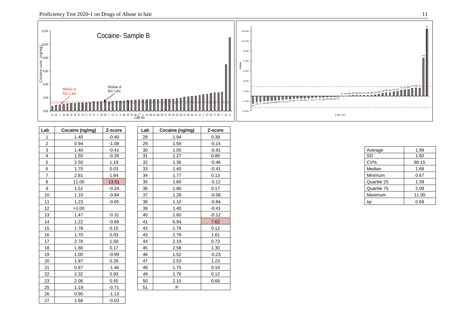![](_page_10_Figure_0.jpeg)

![](_page_10_Figure_1.jpeg)

| Cocaine (ng/mg) | Z-score                                                                                                       |                                                                                                                | Cocaine (ng/mg)                                     | Z-score                                                                              |
|-----------------|---------------------------------------------------------------------------------------------------------------|----------------------------------------------------------------------------------------------------------------|-----------------------------------------------------|--------------------------------------------------------------------------------------|
| 1.40            | $-0.40$                                                                                                       | 28                                                                                                             | 1.94                                                | 0.38                                                                                 |
| 0.94            | $-1.08$                                                                                                       | 29                                                                                                             | 1.58                                                | $-0.14$                                                                              |
| 1.40            | $-0.41$                                                                                                       | 30                                                                                                             | 1.05                                                | $-0.91$                                                                              |
| 1.50            | $-0.26$                                                                                                       | $\overline{31}$                                                                                                | 2.27                                                | 0.86                                                                                 |
| 2.50            | 1.19                                                                                                          | 32                                                                                                             | 1.36                                                | $-0.46$                                                                              |
| 1.70            | 0.03                                                                                                          | 33                                                                                                             | 1.40                                                | $-0.41$                                                                              |
| 2.81            | 1.64                                                                                                          | 34                                                                                                             | 1.77                                                | 0.13                                                                                 |
| 11.00           | 13.51                                                                                                         | 35                                                                                                             | 1.60                                                | $-0.12$                                                                              |
| 1.51            | $-0.24$                                                                                                       | 36                                                                                                             | 1.80                                                | 0.17                                                                                 |
| 1.10            | $-0.84$                                                                                                       | 37                                                                                                             | 1.28                                                | $-0.58$                                                                              |
|                 |                                                                                                               | 38                                                                                                             |                                                     | $-0.84$                                                                              |
|                 |                                                                                                               |                                                                                                                |                                                     | $-0.41$                                                                              |
| 1.47            |                                                                                                               | 40                                                                                                             | 1.60                                                | $-0.12$                                                                              |
|                 |                                                                                                               | 41                                                                                                             |                                                     | 7.62                                                                                 |
|                 |                                                                                                               | 42                                                                                                             |                                                     | 0.12                                                                                 |
| 1.70            | 0.03                                                                                                          | 43                                                                                                             | 2.79                                                | 1.61                                                                                 |
|                 |                                                                                                               |                                                                                                                |                                                     | 0.73                                                                                 |
|                 |                                                                                                               |                                                                                                                |                                                     | 1.30                                                                                 |
|                 | $-0.99$                                                                                                       | 46                                                                                                             |                                                     | $-0.23$                                                                              |
|                 |                                                                                                               |                                                                                                                |                                                     | 1.23                                                                                 |
|                 |                                                                                                               |                                                                                                                |                                                     | 0.10                                                                                 |
|                 |                                                                                                               |                                                                                                                |                                                     | 0.12                                                                                 |
|                 |                                                                                                               |                                                                                                                |                                                     | 0.68                                                                                 |
|                 |                                                                                                               |                                                                                                                | P                                                   |                                                                                      |
|                 | $-1.13$                                                                                                       |                                                                                                                |                                                     |                                                                                      |
|                 |                                                                                                               |                                                                                                                |                                                     |                                                                                      |
|                 | 1.23<br>>1.00<br>1.22<br>1.78<br>2.78<br>1.80<br>1.00<br>1.87<br>0.67<br>2.32<br>2.06<br>1.19<br>0.90<br>1.66 | $-0.65$<br>$-0.31$<br>$-0.66$<br>0.15<br>1.59<br>0.17<br>0.28<br>$-1.46$<br>0.93<br>0.55<br>$-0.71$<br>$-0.03$ | Lab<br>39<br>44<br>45<br>47<br>48<br>49<br>50<br>51 | 1.10<br>1.40<br>6.94<br>1.76<br>2.19<br>2.58<br>1.52<br>2.53<br>1.75<br>1.76<br>2.15 |

| Lab | Cocaine (ng/mg) | Z-score |
|-----|-----------------|---------|
| 28  | 1.94            | 0.38    |
| 29  | 1.58            | $-0.14$ |
| 30  | 1.05            | $-0.91$ |
| 31  | 2.27            | 0.86    |
| 32  | 1.36            | $-0.46$ |
| 33  | 1.40            | $-0.41$ |
| 34  | 1.77            | 0.13    |
| 35  | 1.60            | $-0.12$ |
| 36  | 1.80            | 0.17    |
| 37  | 1.28            | $-0.58$ |
| 38  | 1.10            | $-0.84$ |
| 39  | 1.40            | $-0.41$ |
| 40  | 1.60            | $-0.12$ |
| 41  | 6.94            | 7.62    |
| 42  | 1.76            | 0.12    |
| 43  | 2.79            | 1.61    |
| 44  | 2.19            | 0.73    |
| 45  | 2.58            | 1.30    |
| 46  | 1.52            | $-0.23$ |
| 47  | 2.53            | 1.23    |
| 48  | 1.75            | 0.10    |
| 49  | 1.76            | 0.12    |
| 50  | 2.15            | 0.68    |
| 51  | P               |         |

| Average     | 1.99  |
|-------------|-------|
| SD          | 1.60  |
| CV%         | 80.15 |
| Median      | 1.68  |
| Minimum     | 0.67  |
| Quartile 25 | 1.39  |
| Quartile 75 | 2.08  |
| Maximum     | 11.00 |
| lar         | 0.69  |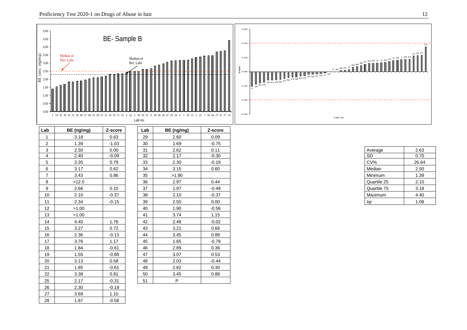![](_page_11_Figure_0.jpeg)

14

 $27\frac{41}{11}$   $17$ 

| werage             | 2.63  |
|--------------------|-------|
| SD                 | 0.70  |
| XV%                | 26.64 |
| Aedian             | 2.50  |
| linimum            | 1.39  |
| <b>Quartile 25</b> | 2.10  |
| Quartile 75        | 3.18  |
| /laximum           | 4.40  |
| qr                 | 1.08  |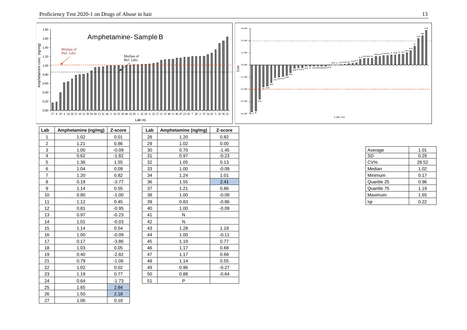![](_page_12_Figure_1.jpeg)

| Lab            | Amphetamine (ng/mg) | Z-score | Lab | Amphetamine (ng/mg) | Z-score |
|----------------|---------------------|---------|-----|---------------------|---------|
| $\mathbf{1}$   | 1.02                | 0.01    | 28  | 1.20                | 0.82    |
| $\overline{2}$ | 1.21                | 0.86    | 29  | 1.02                | 0.00    |
| 3              | 1.00                | $-0.09$ | 30  | 0.70                | $-1.45$ |
| 4              | 0.62                | $-1.82$ | 31  | 0.97                | $-0.23$ |
| 5              | 1.36                | 1.55    | 32  | 1.05                | 0.13    |
| 6              | 1.04                | 0.09    | 33  | 1.00                | $-0.09$ |
| $\overline{7}$ | 1.20                | 0.82    | 34  | 1.24                | 1.01    |
| 8              | 0.19                | $-3.77$ | 36  | 1.55                | 2.41    |
| 9              | 1.14                | 0.55    | 37  | 1.21                | 0.86    |
| 10             | 0.80                | $-1.00$ | 38  | 1.00                | $-0.09$ |
| 11             | 1.12                | 0.45    | 39  | 0.83                | $-0.86$ |
| 12             | 0.81                | $-0.95$ | 40  | 1.00                | $-0.09$ |
| 13             | 0.97                | $-0.23$ | 41  | N                   |         |
| 14             | 1.01                | $-0.03$ | 42  | ${\sf N}$           |         |
| 15             | 1.14                | 0.54    | 43  | 1.28                | 1.18    |
| 16             | 1.00                | $-0.09$ | 44  | 1.00                | $-0.11$ |
| 17             | 0.17                | $-3.86$ | 45  | 1.19                | 0.77    |
| 18             | 1.03                | 0.05    | 46  | 1.17                | 0.68    |
| 19             | 0.40                | $-2.82$ | 47  | 1.17                | 0.68    |
| 21             | 0.79                | $-1.06$ | 48  | 1.14                | 0.55    |
| 22             | 1.02                | 0.02    | 49  | 0.96                | $-0.27$ |
| 23             | 1.19                | 0.77    | 50  | 0.88                | $-0.64$ |
| 24             | 0.64                | $-1.73$ | 51  | P                   |         |
| 25             | 1.65                | 2.84    |     |                     |         |
| 26             | 1.50                | 2.18    |     |                     |         |
| 27             | 1.06                | 0.18    |     |                     |         |

| Lab | Amphetamine (ng/mg) | Z-score |
|-----|---------------------|---------|
| 28  | 1.20                | 0.82    |
| 29  | 1.02                | 0.00    |
| 30  | 0.70                | $-1.45$ |
| 31  | 0.97                | $-0.23$ |
| 32  | 1.05                | 0.13    |
| 33  | 1.00                | $-0.09$ |
| 34  | 1.24                | 1.01    |
| 36  | 1.55                | 2.41    |
| 37  | 1.21                | 0.86    |
| 38  | 1.00                | $-0.09$ |
| 39  | 0.83                | $-0.86$ |
| 40  | 1.00                | $-0.09$ |
| 41  | N                   |         |
| 42  | N                   |         |
| 43  | 1.28                | 1.18    |
| 44  | 1.00                | $-0.11$ |
| 45  | 1.19                | 0.77    |
| 46  | 1.17                | 0.68    |
| 47  | 1.17                | 0.68    |
| 48  | 1.14                | 0.55    |
| 49  | 0.96                | $-0.27$ |
| 50  | 0.88                | $-0.64$ |
| 51  | P                   |         |

| Average     | 1.01  |
|-------------|-------|
| <b>SD</b>   | 0.29  |
| CV%         | 28.52 |
| Median      | 1.02  |
| Minimum     | 0.17  |
| Quartile 25 | 0.96  |
| Quartile 75 | 1.19  |
| Maximum     | 1.65  |
|             | 0.22  |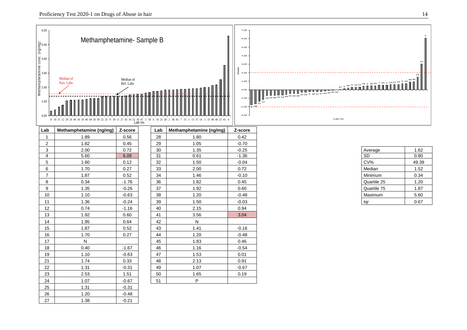![](_page_13_Figure_2.jpeg)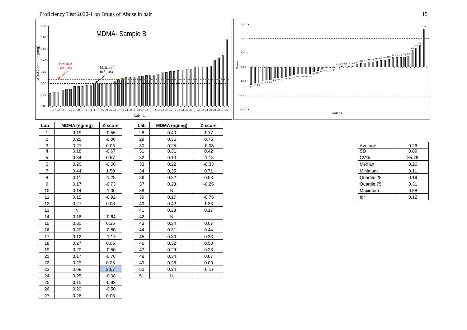![](_page_14_Figure_2.jpeg)

| Lab            | MDMA (ng/mg) | Z-score | Lab | MDMA (ng/mg) | Z-score |
|----------------|--------------|---------|-----|--------------|---------|
| $\mathbf{1}$   | 0.19         | $-0.56$ | 28  | 0.40         | 1.17    |
| $\overline{2}$ | 0.25         | $-0.06$ | 29  | 0.35         | 0.75    |
| 3              | 0.27         | 0.08    | 30  | 0.25         | $-0.08$ |
| 4              | 0.18         | $-0.67$ | 31  | 0.31         | 0.42    |
| 5              | 0.34         | 0.67    | 32  | 0.13         | $-1.13$ |
| 6              | 0.20         | $-0.50$ | 33  | 0.22         | $-0.33$ |
| $\overline{7}$ | 0.44         | 1.50    | 34  | 0.35         | 0.71    |
| 8              | 0.11         | $-1.25$ | 36  | 0.32         | 0.53    |
| 9              | 0.17         | $-0.73$ | 37  | 0.23         | $-0.25$ |
| 10             | 0.14         | $-1.00$ | 38  | N            |         |
| 11             | 0.15         | $-0.92$ | 39  | 0.17         | $-0.75$ |
| 12             | 0.27         | 0.08    | 40  | 0.42         | 1.33    |
| 13             | N            |         | 41  | 0.28         | 0.17    |
| 14             | 0.18         | $-0.64$ | 42  | N            |         |
| 15             | 0.30         | 0.35    | 43  | 0.34         | 0.67    |
| 16             | 0.20         | $-0.50$ | 44  | 0.31         | 0.44    |
| 17             | 0.12         | $-1.17$ | 45  | 0.30         | 0.33    |
| 18             | 0.27         | 0.05    | 46  | 0.32         | 0.50    |
| 19             | 0.20         | $-0.50$ | 47  | 0.29         | 0.28    |
| 21             | 0.17         | $-0.76$ | 48  | 0.34         | 0.67    |
| 22             | 0.29         | 0.25    | 49  | 0.26         | 0.00    |
| 23             | 0.58         | 2.67    | 50  | 0.24         | $-0.17$ |
| 24             | 0.25         | $-0.08$ | 51  | U            |         |
| 25             | 0.15         | $-0.92$ |     |              |         |
| 26             | 0.20         | $-0.50$ |     |              |         |
| 27             | 0.26         | 0.03    |     |              |         |

| Lab | MDMA (ng/mg) | Z-score |
|-----|--------------|---------|
| 28  | 0.40         | 1.17    |
| 29  | 0.35         | 0.75    |
| 30  | 0.25         | $-0.08$ |
| 31  | 0.31         | 0.42    |
| 32  | 0.13         | $-1.13$ |
| 33  | 0.22         | $-0.33$ |
| 34  | 0.35         | 0.71    |
| 36  | 0.32         | 0.53    |
| 37  | 0.23         | $-0.25$ |
| 38  | N            |         |
| 39  | 0.17         | $-0.75$ |
| 40  | 0.42         | 1.33    |
| 41  | 0.28         | 0.17    |
| 42  | N            |         |
| 43  | 0.34         | 0.67    |
| 44  | 0.31         | 0.44    |
| 45  | 0.30         | 0.33    |
| 46  | 0.32         | 0.50    |
| 47  | 0.29         | 0.28    |
| 48  | 0.34         | 0.67    |
| 49  | 0.26         | 0.00    |
| 50  | 0.24         | $-0.17$ |
| 51  | U            |         |
|     |              |         |

| Average     | 0.26  |
|-------------|-------|
| SD          | 0.09  |
| CV%         | 35.78 |
| Median      | 0.26  |
| Minimum     | 0.11  |
| Quartile 25 | 0.19  |
| Quartile 75 | 0.31  |
| Maximum     | 0.58  |
| ar          | 0.12  |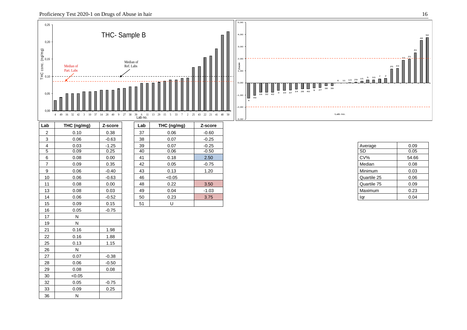![](_page_15_Figure_1.jpeg)

![](_page_15_Figure_2.jpeg)

| .ab | THC (ng/mg) | Z-score |
|-----|-------------|---------|
| 37  | 0.06        | $-0.60$ |
| 38  | 0.07        | $-0.25$ |
| 39  | 0.07        | $-0.25$ |
| 40  | 0.06        | $-0.50$ |
| 41  | 0.18        | 2.50    |
| 42  | 0.05        | $-0.75$ |
| 43  | 0.13        | 1.20    |
| 46  | < 0.05      |         |
| 48  | 0.22        | 3.50    |
| 49  | 0.04        | $-1.03$ |
| 50  | 0.23        | 3.75    |
| 51  | Ù           |         |

| Average     | 0.09  |  |  |  |  |
|-------------|-------|--|--|--|--|
| SD          | 0.05  |  |  |  |  |
| CV%         | 54.66 |  |  |  |  |
| Median      | 0.08  |  |  |  |  |
| Minimum     | 0.03  |  |  |  |  |
| Quartile 25 | 0.06  |  |  |  |  |
| Quartile 75 | 0.09  |  |  |  |  |
| Maximum     | 0.23  |  |  |  |  |
| ar          | 0.04  |  |  |  |  |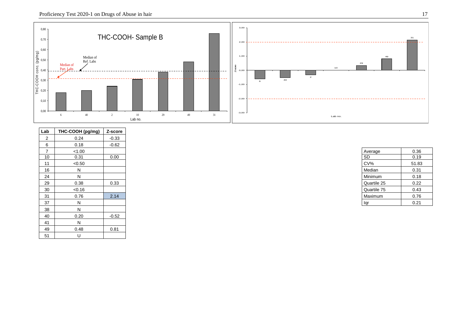![](_page_16_Figure_1.jpeg)

| Lab            | THC-COOH (pg/mg) | Z-score |
|----------------|------------------|---------|
| 2              | 0.24             | $-0.33$ |
| 6              | 0.18             | $-0.62$ |
| $\overline{7}$ | < 1.00           |         |
| 10             | 0.31             | 0.00    |
| 11             | < 0.50           |         |
| 16             | N                |         |
| 24             | N                |         |
| 29             | 0.38             | 0.33    |
| 30             | < 0.16           |         |
| 31             | 0.76             | 2.14    |
| 37             | N                |         |
| 38             | N                |         |
| 40             | 0.20             | $-0.52$ |
| 41             | N                |         |
| 49             | 0.48             | 0.81    |
| 51             | U                |         |

| Average     | 0.36  |  |  |  |  |  |
|-------------|-------|--|--|--|--|--|
| <b>SD</b>   | 0.19  |  |  |  |  |  |
| CV%         | 51.83 |  |  |  |  |  |
| Median      | 0.31  |  |  |  |  |  |
| Minimum     | 0.18  |  |  |  |  |  |
| Quartile 25 | 0.22  |  |  |  |  |  |
| Quartile 75 | 0.43  |  |  |  |  |  |
| Maximum     | 0.76  |  |  |  |  |  |
| ar          | 0.21  |  |  |  |  |  |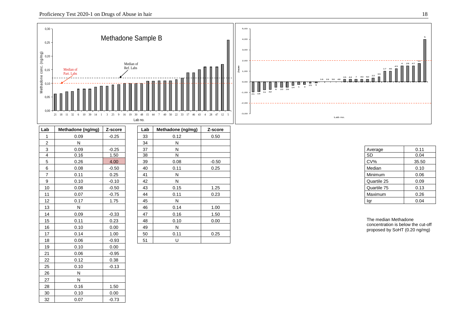30 0.10 0.00 32 0.07 -0.73

![](_page_17_Figure_1.jpeg)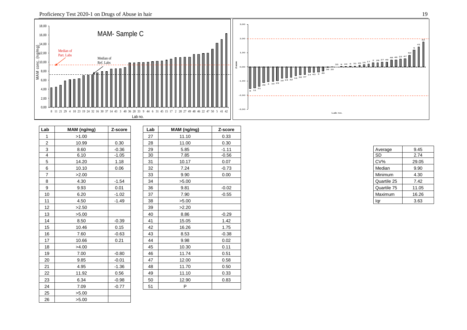![](_page_18_Figure_1.jpeg)

| Lab            | MAM (ng/mg) | Z-score | Lab | MAM (ng/mg) | Z-score |  |  |                 |  |
|----------------|-------------|---------|-----|-------------|---------|--|--|-----------------|--|
| $\overline{1}$ | >1.00       |         | 27  | 11.10       | 0.33    |  |  |                 |  |
| $\overline{2}$ | 10.99       | 0.30    | 28  | 11.00       | 0.30    |  |  |                 |  |
| 3              | 8.60        | $-0.36$ | 29  | 5.85        | $-1.11$ |  |  | Average         |  |
| $\overline{4}$ | 6.10        | $-1.05$ | 30  | 7.85        | $-0.56$ |  |  | $\overline{SD}$ |  |
| 5              | 14.20       | 1.18    | 31  | 10.17       | 0.07    |  |  | $CV\%$          |  |
| 6              | 10.10       | 0.06    | 32  | 7.24        | $-0.73$ |  |  | Median          |  |
| $\overline{7}$ | >2.00       |         | 33  | 9.90        | 0.00    |  |  | Minimum         |  |
| 8              | 4.30        | $-1.54$ | 34  | >5.00       |         |  |  | Quartile 25     |  |
| 9              | 9.93        | 0.01    | 36  | 9.81        | $-0.02$ |  |  | Quartile 75     |  |
| 10             | 6.20        | $-1.02$ | 37  | 7.90        | $-0.55$ |  |  | Maximum         |  |
| 11             | 4.50        | $-1.49$ | 38  | >5.00       |         |  |  | lqr             |  |
| 12             | >2.50       |         | 39  | >2.20       |         |  |  |                 |  |
| 13             | >5.00       |         | 40  | 8.86        | $-0.29$ |  |  |                 |  |
| 14             | 8.50        | $-0.39$ | 41  | 15.05       | 1.42    |  |  |                 |  |
| 15             | 10.46       | 0.15    | 42  | 16.26       | 1.75    |  |  |                 |  |
| 16             | 7.60        | $-0.63$ | 43  | 8.53        | $-0.38$ |  |  |                 |  |
| 17             | 10.66       | 0.21    | 44  | 9.98        | 0.02    |  |  |                 |  |
| 18             | >4.00       |         | 45  | 10.30       | 0.11    |  |  |                 |  |
| 19             | 7.00        | $-0.80$ | 46  | 11.74       | 0.51    |  |  |                 |  |
| 20             | 9.85        | $-0.01$ | 47  | 12.00       | 0.58    |  |  |                 |  |
| 21             | 4.95        | $-1.36$ | 48  | 11.70       | 0.50    |  |  |                 |  |
| 22             | 11.92       | 0.56    | 49  | 11.10       | 0.33    |  |  |                 |  |
| 23             | 6.34        | $-0.98$ | 50  | 12.90       | 0.83    |  |  |                 |  |
| 24             | 7.09        | $-0.77$ | 51  | P           |         |  |  |                 |  |
| 25             | >5.00       |         |     |             |         |  |  |                 |  |
| 26             | >5.00       |         |     |             |         |  |  |                 |  |

| Average     | 9.45  |  |  |  |  |  |
|-------------|-------|--|--|--|--|--|
| SD          | 2.74  |  |  |  |  |  |
| CV%         | 29.05 |  |  |  |  |  |
| Median      | 9.90  |  |  |  |  |  |
| Minimum     | 4.30  |  |  |  |  |  |
| Quartile 25 | 7.42  |  |  |  |  |  |
| Quartile 75 | 11.05 |  |  |  |  |  |
| Maximum     | 16.26 |  |  |  |  |  |
| a           | 3.63  |  |  |  |  |  |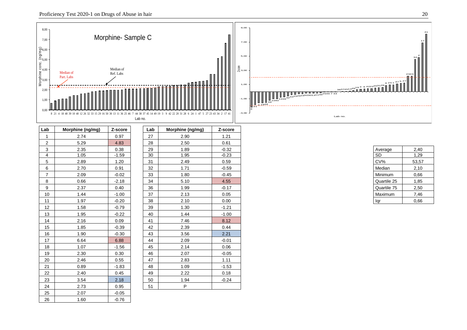![](_page_19_Figure_1.jpeg)

| Lab            | Morphine (ng/mg) | Z-score | Lab | Morphine (ng/mg) | Z-score |
|----------------|------------------|---------|-----|------------------|---------|
| $\mathbf{1}$   | 2.74             | 0.97    | 27  | 2.90             | 1.21    |
| $\overline{2}$ | 5.29             | 4.83    | 28  | 2.50             | 0.61    |
| $\mathbf{3}$   | 2.35             | 0.38    | 29  | 1.89             | $-0.32$ |
| 4              | 1.05             | $-1.59$ | 30  | 1.95             | $-0.23$ |
| 5              | 2.89             | 1.20    | 31  | 2.49             | 0.59    |
| 6              | 2.70             | 0.91    | 32  | 1.71             | $-0.59$ |
| $\overline{7}$ | 2.09             | $-0.02$ | 33  | 1.80             | $-0.45$ |
| 8              | 0.66             | $-2.18$ | 34  | 5.10             | 4.55    |
| 9              | 2.37             | 0.40    | 36  | 1.99             | $-0.17$ |
| 10             | 1.44             | $-1.00$ | 37  | 2.13             | 0.05    |
| 11             | 1.97             | $-0.20$ | 38  | 2.10             | 0.00    |
| 12             | 1.58             | $-0.79$ | 39  | 1.30             | $-1.21$ |
| 13             | 1.95             | $-0.22$ | 40  | 1.44             | $-1.00$ |
| 14             | 2.16             | 0.09    | 41  | 7.46             | 8.12    |
| 15             | 1.85             | $-0.39$ | 42  | 2.39             | 0.44    |
| 16             | 1.90             | $-0.30$ | 43  | 3.56             | 2.21    |
| 17             | 6.64             | 6.88    | 44  | 2.09             | $-0.01$ |
| 18             | 1.07             | $-1.56$ | 45  | 2.14             | 0.06    |
| 19             | 2.30             | 0.30    | 46  | 2.07             | $-0.05$ |
| 20             | 2.46             | 0.55    | 47  | 2.83             | 1.11    |
| 21             | 0.89             | $-1.83$ | 48  | 1.09             | $-1.53$ |
| 22             | 2.40             | 0.45    | 49  | 2.22             | 0.18    |
| 23             | 3.54             | 2.18    | 50  | 1.94             | $-0.24$ |
| 24             | 2.73             | 0.95    | 51  | P                |         |
| 25             | 2.07             | $-0.05$ |     |                  |         |
| 26             | 1.60             | $-0.76$ |     |                  |         |

| Average     | 2,40  |
|-------------|-------|
| SD          | 1,29  |
| CV%         | 53,57 |
| Median      | 2,10  |
| Minimum     | 0.66  |
| Quartile 25 | 1,85  |
| Quartile 75 | 2,50  |
| Maximum     | 7,46  |
|             | 0.66  |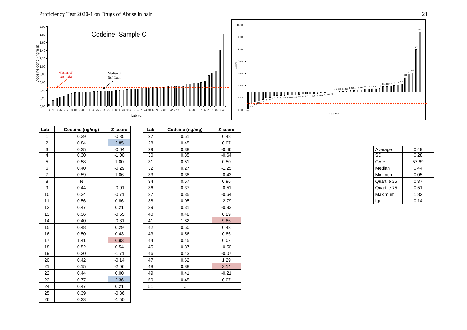![](_page_20_Figure_1.jpeg)

| Lab            | Codeine (ng/mg) | Z-score | Lab | Codeine (ng/mg) | Z-score |  |  |
|----------------|-----------------|---------|-----|-----------------|---------|--|--|
| $\mathbf{1}$   | 0.39            | $-0.35$ | 27  | 0.51            | 0.48    |  |  |
| $\overline{2}$ | 0.84            | 2.85    | 28  | 0.45            | 0.07    |  |  |
| 3              | 0.35            | $-0.64$ | 29  | 0.38            | $-0.46$ |  |  |
| $\overline{4}$ | 0.30            | $-1.00$ | 30  | 0.35            | $-0.64$ |  |  |
| 5              | 0.58            | 1.00    | 31  | 0.51            | 0.50    |  |  |
| 6              | 0.40            | $-0.29$ | 32  | 0.27            | $-1.25$ |  |  |
| $\overline{7}$ | 0.59            | 1.06    | 33  | 0.38            | $-0.43$ |  |  |
| 8              | N               |         | 34  | 0.57            | 0.96    |  |  |
| 9              | 0.44            | $-0.01$ | 36  | 0.37            | $-0.51$ |  |  |
| 10             | 0.34            | $-0.71$ | 37  | 0.35            | $-0.64$ |  |  |
| 11             | 0.56            | 0.86    | 38  | 0.05            | $-2.79$ |  |  |
| 12             | 0.47            | 0.21    | 39  | 0.31            | $-0.93$ |  |  |
| 13             | 0.36            | $-0.55$ | 40  | 0.48            | 0.29    |  |  |
| 14             | 0.40            | $-0.31$ | 41  | 1.82            | 9.86    |  |  |
| 15             | 0.48            | 0.29    | 42  | 0.50            | 0.43    |  |  |
| 16             | 0.50            | 0.43    | 43  | 0.56            | 0.86    |  |  |
| 17             | 1.41            | 6.93    | 44  | 0.45            | 0.07    |  |  |
| 18             | 0.52            | 0.54    | 45  | 0.37            | $-0.50$ |  |  |
| 19             | 0.20            | $-1.71$ | 46  | 0.43            | $-0.07$ |  |  |
| 20             | 0.42            | $-0.14$ | 47  | 0.62            | 1.29    |  |  |
| 21             | 0.15            | $-2.06$ | 48  | 0.88            | 3.14    |  |  |
| 22             | 0.44            | 0.00    | 49  | 0.41            | $-0.21$ |  |  |
| 23             | 0.77            | 2.36    | 50  | 0.45            | 0.07    |  |  |
| 24             | 0.47            | 0.21    | 51  | U               |         |  |  |
| 25             | 0.39            | $-0.36$ |     |                 |         |  |  |
| 26             | 0.23            | $-1.50$ |     |                 |         |  |  |

| Average     | 0.49  |
|-------------|-------|
| <b>SD</b>   | 0.28  |
| CV%         | 57.69 |
| Median      | 0.44  |
| Minimum     | 0.05  |
| Quartile 25 | 0.37  |
| Quartile 75 | 0.51  |
| Maximum     | 1.82  |
| lar         | 0.14  |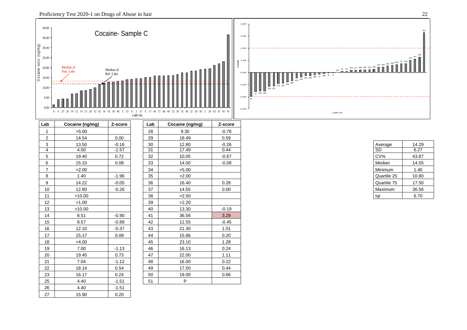![](_page_21_Figure_2.jpeg)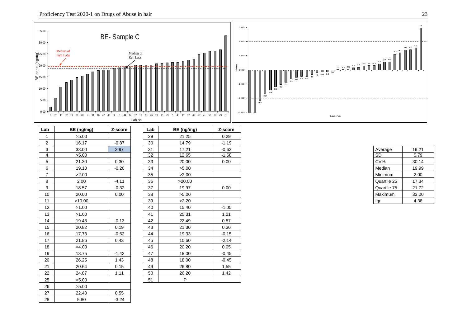8 28 45 32 19 30 40 2 31 16 47 48 9 6 44 14 37 10 33 46 21 15 29 5 43 17 27 42 22 41 50 20 49 3 Lab no. **Lab BE (ng/mg) Z-score Lab BE (ng/mg) Z-score** 1 | >5.00 | | | 29 | 21.25 | 0.29  $-1.19$ 2 **1** 16.17 **1 -0.87 1 30 1 -14.79 1 -1.19**  $-0.63$ 3 | 33.00 | 2.97 | | 31 | 17.21 | -0.63 | | Average | 19.21 4 >5.00 32 12.65 -1.68 SD 5.79 5 1 21.30 1 0.30 1 1 33 1 20.00 1 0.00 1 20.00 20.00 20.00 20.14 20.14 20.00 21:00 21:00 21:00 21:00 21:00 21:0 6 19.10 -0.20 34 >5.00 Median 19.99 7 >2.00 35 >2.00 Minimum 2.00 8 2.00 -4.11 36 >20.00 Quartile 25 17.34 9 | 18.57 | 0.32 | 37 | 19.97 | 0.00 | |Quartile 75 | 21.72 10 20.00 0.00 38 >5.00 Maximum 33.00 11 >10.00 39 >2.20 Iqr 4.38 12 | >1.00 | | | 40 | 15.40 | -1.05 13 >1.00 41 25.31 1.21 14 | 19.43 | 0.13 | | 42 | 22.49 | 0.57 | 15 20.82 0.19 43 21.30 0.30 16 1 -0.52 1 44 1 -0.33 1 -0.15  $-2.14$ 17 21.86 0.43 45 10.60 -2.14 18 >4.00 46 20.20 0.05 19 10 13.75 1 -1.42 1 47 1 -18.00 1 -0.45 20 **26.25 1.43 1.48 1.48 18.00** 1.45 21 20.64 0.15 49 26.80 1.55 22 24.87 1.11 50 26.20 1.42 25  $>5.00$   $\vert$  51 P  $26$   $>5.00$ 27 22.40 0.55 28 5.80 -3.24

| Average     | 19.21 |
|-------------|-------|
| SD          | 5.79  |
| CV%         | 30.14 |
| Median      | 19.99 |
| Minimum     | 2.00  |
| Quartile 25 | 17.34 |
| Quartile 75 | 21.72 |
| Maximum     | 33.00 |
| ar          | 4.38  |

| $35,00$ $-$<br>30,00                                                           | BE-Sample C                                                                                                                                                          | 3,00<br>2,00                                                                                                                                                                      |  |
|--------------------------------------------------------------------------------|----------------------------------------------------------------------------------------------------------------------------------------------------------------------|-----------------------------------------------------------------------------------------------------------------------------------------------------------------------------------|--|
| $\widehat{E}_{\text{S20,00}}^{(225,00)}$<br>  님 15,00<br>10,00<br>5,00<br>0,00 | Median of<br>Median of<br>Part. Labs<br>Ref. Labs<br>п<br>15 29 5 43 17 27 42 22 41 50 20 49 3<br>28 45 32 19 30<br>37<br>33<br>40<br>48<br>21<br>$2^{1}$<br>44<br>8 | 50 2<br>1,00<br>0,00<br>$\frac{1}{6}$ $\frac{1}{44}$ $\frac{1}{14}$ $\frac{37}{37}$<br>Ų<br>ш<br>$\frac{1}{16}$ 47 48<br>$-1,00$<br>$-2,00$<br>45<br>- 11<br>$-3,00$ J<br>Lab no. |  |
|                                                                                | Lab no.                                                                                                                                                              |                                                                                                                                                                                   |  |

пr

| Proficiency Test 2020-1 on Drugs of Abuse in hair |  |
|---------------------------------------------------|--|
|                                                   |  |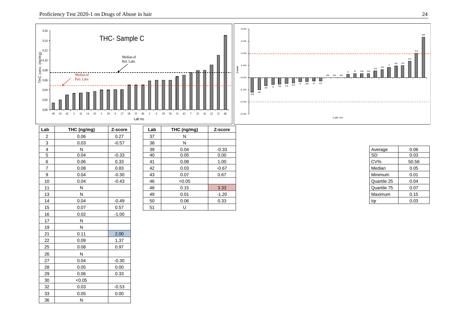19 N

26 N

 $30$   $\leq 0.05$ 

36 N

21 0.11 2.00 22 0.09 1.37 25 0.08 0.97

27 0.04 -0.30 28 0.05 0.00 29 0.06 0.33

32 0.03 -0.53 33 0.05 0.00

![](_page_23_Figure_1.jpeg)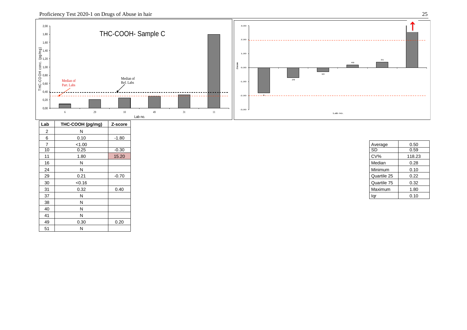![](_page_24_Figure_1.jpeg)

| Lab            | THC-COOH (pg/mg) | Z-score |
|----------------|------------------|---------|
| 2              | N                |         |
| 6              | 0.10             | $-1.80$ |
| $\overline{ }$ | < 1.00           |         |
| 10             | 0.25             | $-0.30$ |
| 11             | 1.80             | 15.20   |
| 16             | N                |         |
| 24             | N                |         |
| 29             | 0.21             | $-0.70$ |
| 30             | < 0.16           |         |
| 31             | 0.32             | 0.40    |
| 37             | N                |         |
| 38             | N                |         |
| 40             | N                |         |
| 41             | N                |         |
| 49             | 0.30             | 0.20    |
| 51             | N                |         |

| Average     | 0.50   |
|-------------|--------|
| <b>SD</b>   | 0.59   |
| CV%         | 118.23 |
| Median      | 0.28   |
| Minimum     | 0.10   |
| Quartile 25 | 0.22   |
| Quartile 75 | 0.32   |
| Maximum     | 1.80   |
|             | 0.10   |